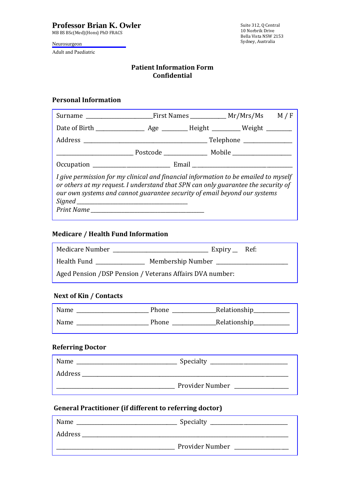MB BS BSc(Med)(Hons) PhD FRACS

Neurosurgeon

Adult and Paediatric

### **Patient Information Form Confidential**

# **Personal Information**

| I give permission for my clinical and financial information to be emailed to myself<br>or others at my request. I understand that SPN can only guarantee the security of<br>our own systems and cannot guarantee security of email beyond our systems |  |  |  |  |
|-------------------------------------------------------------------------------------------------------------------------------------------------------------------------------------------------------------------------------------------------------|--|--|--|--|

# **Medicare / Health Fund Information**

| Medicare Number                                           | $Expiry$ Ref: |  |
|-----------------------------------------------------------|---------------|--|
| Membership Number ____<br>Health Fund                     |               |  |
| Aged Pension / DSP Pension / Veterans Affairs DVA number: |               |  |

# **Next of Kin / Contacts**

| Name | Phone | Relationship |
|------|-------|--------------|
| Name | Phone | Relationship |

### **Referring Doctor**

| Name    | Specialty       |
|---------|-----------------|
| Address |                 |
|         | Provider Number |

# **General Practitioner (if different to referring doctor)**

| Name    | Specialty       |
|---------|-----------------|
| Address |                 |
|         | Provider Number |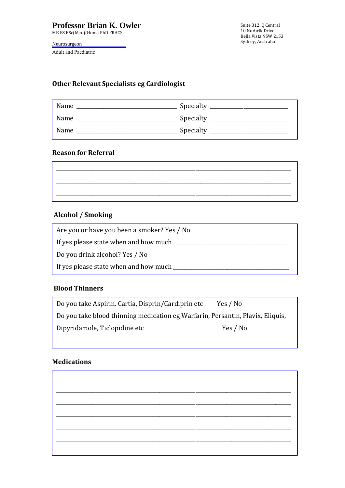MB BS BSc(Med)(Hons) PhD FRACS

Neurosurgeon

Adult and Paediatric

Suite 312, Q Central 10 Norbrik Drive Bella Vista NSW 2153 Sydney, Australia

### **Other Relevant Specialists eg Cardiologist**

| Name | Specialty |
|------|-----------|
| Name | Specialty |
| Name | Specialty |

### **Reason for Referral**

| _________ | __________ | __________ | _______ |
|-----------|------------|------------|---------|

# **Alcohol / Smoking**

Are you or have you been a smoker? Yes / No If yes please state when and how much \_\_\_\_\_\_\_\_\_\_\_\_\_\_\_\_\_\_\_\_\_\_\_\_\_\_\_\_\_\_\_\_\_\_\_\_\_\_\_\_\_\_\_\_\_ Do you drink alcohol? Yes / No If yes please state when and how much \_\_\_\_\_\_\_\_\_\_\_\_\_\_\_\_\_\_\_\_\_\_\_\_\_\_\_\_\_\_\_\_\_\_\_\_\_\_\_\_\_\_\_\_\_

#### **Blood Thinners**  $H_3$  and  $H_4$  members in  $H_4$  and  $H_5$  and  $H_6$  are  $H_7$  and  $H_8$  and  $H_7$  are  $H_8$  and  $H_8$  are  $H_9$  and  $H_9$  are  $H_9$  and  $H_9$  are  $H_9$  and  $H_9$  are  $H_9$  and  $H_9$  are  $H_9$  and  $H_9$  are  $H_9$  and  $H_9$

| Do you take Aspirin, Cartia, Disprin/Cardiprin etc                             | Yes / No |
|--------------------------------------------------------------------------------|----------|
| Do you take blood thinning medication eg Warfarin, Persantin, Plavix, Eliquis, |          |
| Dipyridamole, Ticlopidine etc                                                  | Yes / No |

### **Medications**

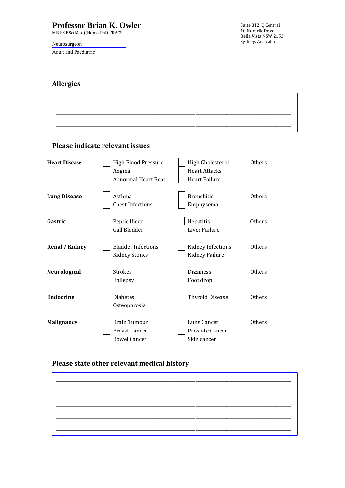MB BS BSc(Med)(Hons) PhD FRACS

### Neurosurgeon

Adult and Paediatric

Suite 312, Q Central 10 Norbrik Drive Bella Vista NSW 2153 Sydney, Australia

## **Allergies**

|                                                                                            |  | --<br>____      |
|--------------------------------------------------------------------------------------------|--|-----------------|
|                                                                                            |  |                 |
|                                                                                            |  |                 |
|                                                                                            |  | ____            |
|                                                                                            |  |                 |
|                                                                                            |  |                 |
|                                                                                            |  |                 |
| أسترابهم أيستراسه المراسين المراسين المراسين المراسي أستراس أستراس المراسي المراسي المراسي |  | _______________ |
|                                                                                            |  |                 |

### **Please indicate relevant issues**

| <b>Heart Disease</b>  | <b>High Blood Pressure</b><br>Angina<br>Abnormal Heart Beat        | High Cholesterol<br><b>Heart Attacks</b><br>Heart Failure | Others        |
|-----------------------|--------------------------------------------------------------------|-----------------------------------------------------------|---------------|
| <b>Lung Disease</b>   | Asthma<br><b>Chest Infections</b>                                  | <b>Bronchitis</b><br>Emphysema                            | Others        |
| Gastric               | Peptic Ulcer<br>Gall Bladder                                       | Hepatitis<br>Liver Failure                                | Others        |
| <b>Renal / Kidney</b> | <b>Bladder Infections</b><br><b>Kidney Stones</b>                  | Kidney Infections<br>Kidney Failure                       | Others        |
| Neurological          | <b>Strokes</b><br>Epilepsy                                         | <b>Dizziness</b><br>Foot drop                             | <b>Others</b> |
| <b>Endocrine</b>      | <b>Diabetes</b><br>Osteoporosis                                    | <b>Thyroid Disease</b>                                    | <b>Others</b> |
| <b>Malignancy</b>     | <b>Brain Tumour</b><br><b>Breast Cancer</b><br><b>Bowel Cancer</b> | Lung Cancer<br>Prostate Cancer<br>Skin cancer             | <b>Others</b> |

## **Please state other relevant medical history**

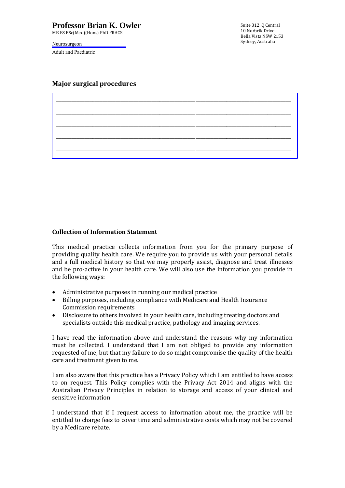MB BS BSc(Med)(Hons) PhD FRACS

Neurosurgeon

Adult and Paediatric

Suite 312, Q Central 10 Norbrik Drive Bella Vista NSW 2153 Sydney, Australia

### **Major surgical procedures**

| ______ |  |  |
|--------|--|--|
|        |  |  |
|        |  |  |
|        |  |  |
|        |  |  |
|        |  |  |

### **Collection of Information Statement**

This medical practice collects information from you for the primary purpose of providing quality health care. We require you to provide us with your personal details and a full medical history so that we may properly assist, diagnose and treat illnesses and be pro-active in your health care. We will also use the information you provide in the following ways:

- Administrative purposes in running our medical practice
- Billing purposes, including compliance with Medicare and Health Insurance Commission requirements
- Disclosure to others involved in your health care, including treating doctors and specialists outside this medical practice, pathology and imaging services.

I have read the information above and understand the reasons why my information must be collected. I understand that I am not obliged to provide any information requested of me, but that my failure to do so might compromise the quality of the health care and treatment given to me.

I am also aware that this practice has a Privacy Policy which I am entitled to have access to on request. This Policy complies with the Privacy Act 2014 and aligns with the Australian Privacy Principles in relation to storage and access of your clinical and sensitive information.

I understand that if I request access to information about me, the practice will be entitled to charge fees to cover time and administrative costs which may not be covered by a Medicare rebate.